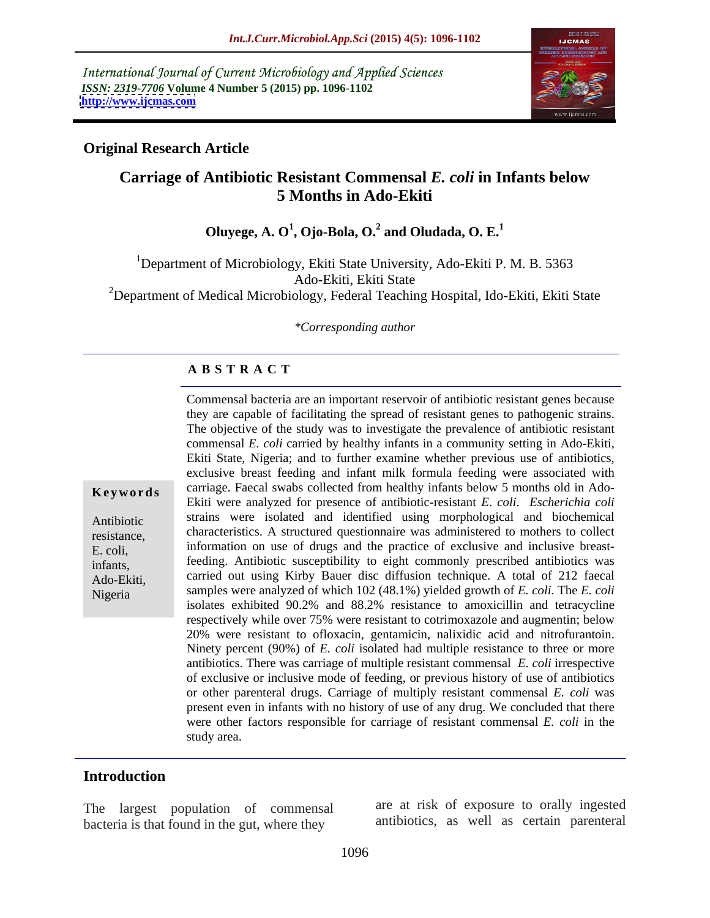International Journal of Current Microbiology and Applied Sciences *ISSN: 2319-7706* **Volume 4 Number 5 (2015) pp. 1096-1102 <http://www.ijcmas.com>**



## **Original Research Article**

# **Carriage of Antibiotic Resistant Commensal** *E. coli* **in Infants below 5 Months in Ado-Ekiti**

 $\bf{O}$ luyege,  $\bf{A. O}^1$ ,  $\bf{O}$ jo-Bola,  $\bf{O.}^2$  and  $\bf{O}$ ludada,  $\bf{O. E.}^1$  **and Oludada, O. E.<sup>1</sup>**

<sup>1</sup>Department of Microbiology, Ekiti State University, Ado-Ekiti P. M. B. 5363 Ado-Ekiti, Ekiti State <sup>2</sup>Department of Medical Microbiology, Federal Teaching Hospital, Ido-Ekiti, Ekiti State

*\*Corresponding author*

### **A B S T R A C T**

Commensal bacteria are an important reservoir of antibiotic resistant genes because they are capable of facilitating the spread of resistant genes to pathogenic strains. The objective of the study was to investigate the prevalence of antibiotic resistant commensal *E. coli* carried by healthy infants in a community setting in Ado-Ekiti, Ekiti State, Nigeria; and to further examine whether previous use of antibiotics, exclusive breast feeding and infant milk formula feeding were associated with **Keywords** carriage. Faecal swabs collected from healthy infants below 5 months old in Ado-Ekiti were analyzed for presence of antibiotic-resistant *E*. *coli*. *Escherichia coli* strains were isolated and identified using morphological and biochemical Antibiotic resistance, characteristics. A structured questionnaire was administered to mothers to collect information on use of drugs and the practice of exclusive and inclusive breast-E. coli, feeding. Antibiotic susceptibility to eight commonly prescribed antibiotics was infants, Ado-Ekiti, carried out using Kirby Bauer disc diffusion technique. A total of 212 faecal samples were analyzed of which 102 (48.1%) yielded growth of *E. coli*. The *E. coli* isolates exhibited 90.2% and 88.2% resistance to amoxicillin and tetracycline respectively while over 75% were resistant to cotrimoxazole and augmentin; below 20% were resistant to ofloxacin, gentamicin, nalixidic acid and nitrofurantoin. Ninety percent (90%) of *E. coli* isolated had multiple resistance to three or more antibiotics. There was carriage of multiple resistant commensal *E. coli* irrespective of exclusive or inclusive mode of feeding, or previous history of use of antibiotics or other parenteral drugs. Carriage of multiply resistant commensal *E. coli* was present even in infants with no history of use of any drug. We concluded that there were other factors responsible for carriage of resistant commensal *E. coli* in the study area.

### **Introduction**

Nigeria

The largest population of commensal bacteria is that found in the gut, where they

are at risk of exposure to orally ingested antibiotics, as well as certain parenteral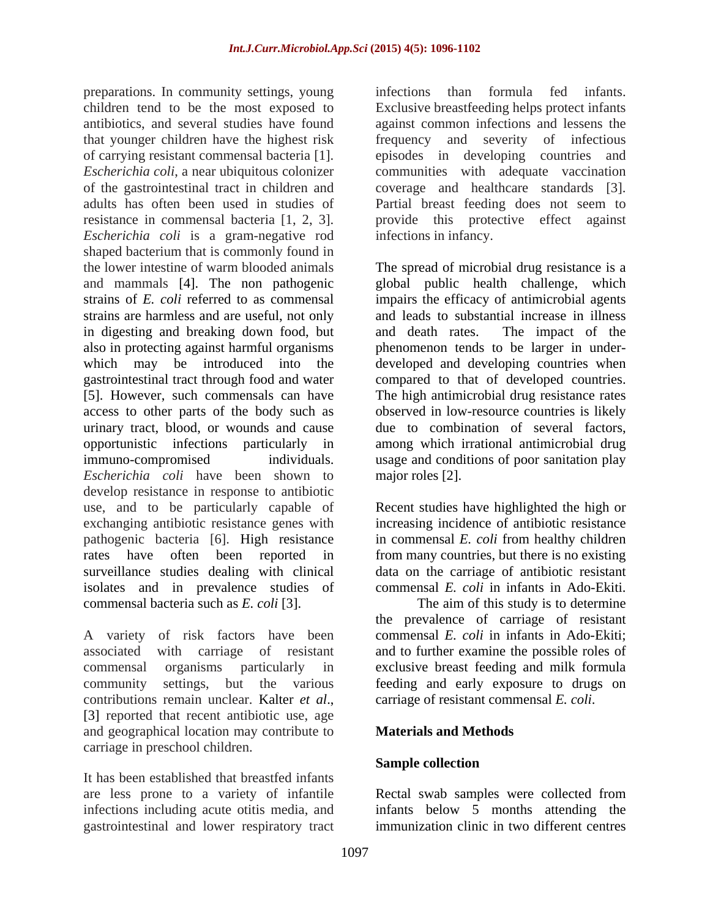preparations. In community settings, young children tend to be the most exposed to Exclusive breastfeeding helps protect infants antibiotics, and several studies have found against common infections and lessens the that younger children have the highest risk frequency and severity of infectious of carrying resistant commensal bacteria [1]. *Escherichia coli*, a near ubiquitous colonizer communities with adequate vaccination of the gastrointestinal tract in children and coverage and healthcare standards [3]. adults has often been used in studies of resistance in commensal bacteria [1, 2, 3]. provide this protective effect against *Escherichia coli* is a gram-negative rod shaped bacterium that is commonly found in the lower intestine of warm blooded animals The spread of microbial drug resistance is a and mammals [4]. The non pathogenic global public health challenge, which strains of *E. coli* referred to as commensal impairs the efficacy of antimicrobial agents strains are harmless and are useful, not only in digesting and breaking down food, but also in protecting against harmful organisms phenomenon tends to be larger in under which may be introduced into the developed and developing countries when gastrointestinal tract through food and water compared to that of developed countries. [5]. However, such commensals can have The high antimicrobial drug resistance rates access to other parts of the body such as urinary tract, blood, or wounds and cause due to combination of several factors, opportunistic infections particularly in among which irrational antimicrobial drug immuno-compromised individuals. usage and conditions of poor sanitation play *Escherichia coli* have been shown to develop resistance in response to antibiotic use, and to be particularly capable of exchanging antibiotic resistance genes with increasing incidence of antibiotic resistance pathogenic bacteria [6]. High resistance rates have often been reported in from many countries, but there is no existing surveillance studies dealing with clinical data on the carriage of antibiotic resistant isolates and in prevalence studies of commensal bacteria such as *E. coli* [3].

A variety of risk factors have been community settings, but the various contributions remain unclear. Kalter *et al.*, carriage of resistant commensal *E. coli.*<br>[3] reported that recent antibiotic use, age and geographical location may contribute to **Materials and Methods** carriage in preschool children.

It has been established that breastfed infants gastrointestinal and lower respiratory tract infections than formula fed infants. episodes in developing countries and Partial breast feeding does not seem to infections in infancy.

and leads to substantial increase in illness and death rates. The impact of the observed in low-resource countries is likely major roles [2].

Recent studies have highlighted the high or in commensal *E. coli* from healthy children commensal *E. coli* in infants in Ado-Ekiti.

associated with carriage of resistant and to further examine thepossible roles of commensal organisms particularly in exclusive breast feeding and milk formula The aim of this study is to determine the prevalence of carriage of resistant commensal *E. coli* in infants in Ado-Ekiti; feeding and early exposure to drugs on carriage of resistant commensal *E. coli*.

### **Materials and Methods**

### **Sample collection**

are less prone to a variety of infantile Rectal swab samples were collected from infections including acute otitis media, and infants below 5 months attending the immunization clinic in two different centres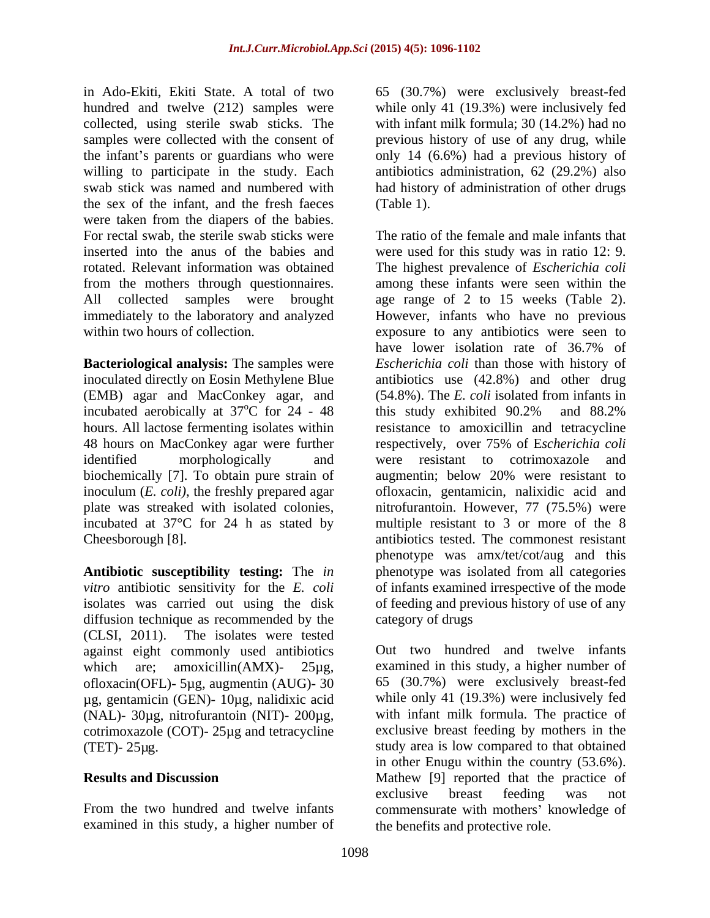in Ado-Ekiti, Ekiti State. A total of two 65 (30.7%) were exclusively breast-fed hundred and twelve (212) samples were while only 41 (19.3%) were inclusively fed collected, using sterile swab sticks. The samples were collected with the consent of previous history of use of any drug, while the infant's parents or guardians who were only 14 (6.6%) had a previous history of willing to participate in the study. Each antibiotics administration, 62 (29.2%) also swab stick was named and numbered with had history of administration of other drugs the sex of the infant, and the fresh faeces were taken from the diapers of the babies. For rectal swab, the sterile swab sticks were

inoculated directly on Eosin Methylene Blue (EMB) agar and MacConkey agar, and incubated aerobically at  $37^{\circ}$ C for 24 - 48 this study exhibited  $90.2\%$  and  $88.2\%$ 48 hours on MacConkey agar were further respectively, over 75% of Escherichia coli biochemically [7]. To obtain pure strain of augmentin; below 20% were resistant to

diffusion technique as recommended by the category of drugs (CLSI, 2011). The isolates were tested against eight commonly used antibiotics ofloxacin(OFL)- 5µg, augmentin (AUG)- 30 µg, gentamicin (GEN)- 10µg, nalidixic acid (NAL)- 30µg, nitrofurantoin (NIT)- 200µg, cotrimoxazole (COT)- 25µg and tetracycline

examined in this study, a higher number of

with infant milk formula; 30 (14.2%) had no (Table 1).

inserted into the anus of the babies and were used for this study was in ratio 12: 9. rotated. Relevant information was obtained The highest prevalence of *Escherichia coli* from the mothers through questionnaires. among these infants were seen within the All collected samples were brought age range of 2 to 15 weeks (Table 2). immediately to the laboratory and analyzed However, infants who have no previous within two hours of collection. exposure to any antibiotics were seen to **Bacteriological analysis:** The samples were *Escherichia coli* than those with history of  $\degree$ C for 24 - 48 this study exhibited 90.2% and 88.2% hours. All lactose fermenting isolates within resistance to amoxicillin and tetracycline identified morphologically and were resistant to cotrimoxazole and inoculum (*E. coli)*, the freshly prepared agar ofloxacin, gentamicin, nalixidic acid and plate was streaked with isolated colonies, nitrofurantoin. However, 77 (75.5%) were incubated at 37°C for 24 h as stated by multiple resistant to 3 or more of the 8 Cheesborough [8]. antibiotics tested. The commonest resistant **Antibiotic susceptibility testing:** The *in*  phenotype was isolated from all categories *vitro* antibiotic sensitivity for the *E. coli* of infants examined irrespective of the mode isolates was carried out using the disk of feeding and previous history of use of any The ratio of the female and male infants that have lower isolation rate of 36.7% of antibiotics use  $(42.8\%)$  and other drug (54.8%). The *E. coli* isolated from infants in this study exhibited 90.2% and 88.2% respectively, over 75% of E*scherichia coli* augmentin; below 20% were resistant to phenotype was amx/tet/cot/aug and this category of drugs

which are; amoxicillin(AMX)- 25µg, examined in this study, a higher number of (TET)- 25µg. study area is low compared to that obtained **Results and Discussion** Mathew [9] reported that the practice of From the two hundred and twelve infants commensurate with mothers' knowledge of Out two hundred and twelve infants 65 (30.7%) were exclusively breast-fed while only 41 (19.3%) were inclusively fed with infant milk formula. The practice of exclusive breast feeding by mothers in the in other Enugu within the country (53.6%). exclusive breast feeding was not the benefits and protective role.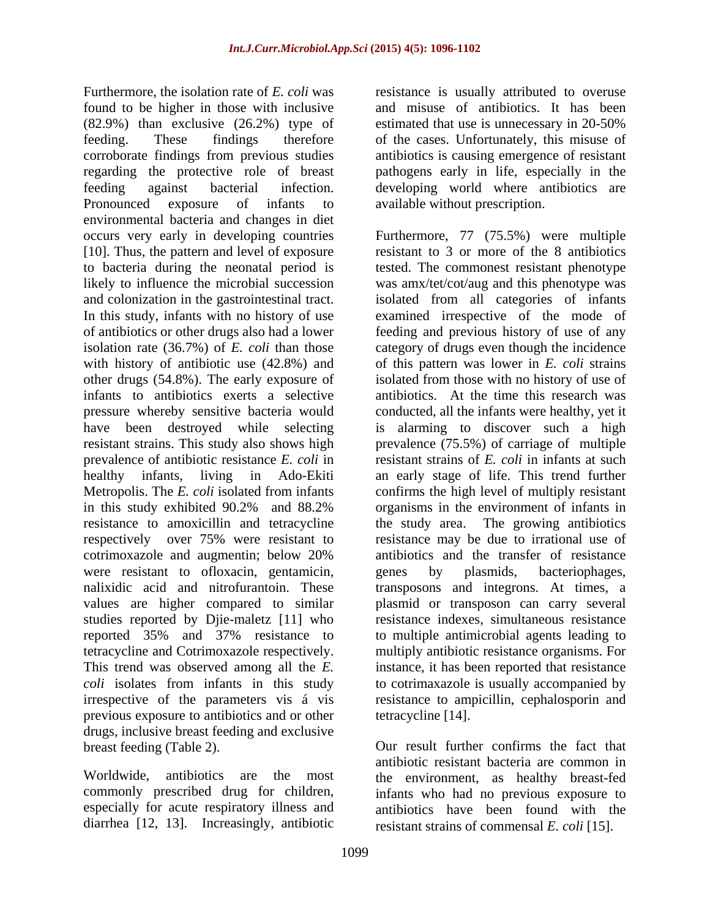Furthermore, the isolation rate of *E. coli* was resistance is usually attributed to overuse found to be higher in those with inclusive and misuse of antibiotics. It has been (82.9%) than exclusive (26.2%) type of estimated that use is unnecessary in 20-50% feeding. These findings therefore of the cases. Unfortunately, this misuse of corroborate findings from previous studies antibiotics is causing emergence of resistant regarding the protective role of breast feeding against bacterial infection. developing world where antibiotics are Pronounced exposure of infants to available without prescription. environmental bacteria and changes in diet occurs very early in developing countries Furthermore, 77 (75.5%) were multiple [10]. Thus, the pattern and level of exposure to bacteria during the neonatal period is tested. The commonest resistant phenotype likely to influence the microbial succession was amx/tet/cot/aug and this phenotype was and colonization in the gastrointestinal tract. isolated from all categories of infants In this study, infants with no history of use examined irrespective of the mode of of antibiotics or other drugs also had a lower feeding and previous history of use of any isolation rate (36.7%) of *E. coli* than those category of drugs even though the incidence with history of antibiotic use (42.8%) and of this pattern was lower in *E. coli* strains other drugs (54.8%). The early exposure of infants to antibiotics exerts a selective antibiotics. At the time this research was pressure whereby sensitive bacteria would have been destroyed while selecting is alarming to discover such a high resistant strains. This study also shows high prevalence (75.5%) of carriage of multiple prevalence of antibiotic resistance *E. coli* in healthy infants, living in Ado-Ekiti an early stage of life. This trend further Metropolis. The *E. coli* isolated from infants confirms the high level of multiply resistant in this study exhibited 90.2% and 88.2% resistance to amoxicillin and tetracycline the study area. The growing antibiotics respectively over 75% were resistant to resistance may be due to irrational use of cotrimoxazole and augmentin; below 20% were resistant to ofloxacin, gentamicin, genes by plasmids, bacteriophages, nalixidic acid and nitrofurantoin. These transposons and integrons. At times, a nalixidic acid and nitrofurantoin. These transposons and integrons. At times, a values are higher compared to similar studies reported by Djie-maletz [11] who reported 35% and 37% resistance to to multiple antimicrobial agents leading to tetracycline and Cotrimoxazole respectively. multiply antibiotic resistance organisms. For This trend was observed among all the *E.*  instance, it has been reported that resistance *coli* isolates from infants in this study irrespective of the parameters vis á vis resistance to ampicillin, cephalosporin and previous exposure to antibiotics and or other drugs, inclusive breast feeding and exclusive

pathogens early in life, especially in the

resistant to 3 or more of the 8 antibiotics isolated from those with no history of use of conducted, all the infants were healthy, yet it resistant strains of *E. coli* in infants at such organisms in the environment of infants in antibiotics and the transfer of resistance genes by plasmids, bacteriophages, plasmid or transposon can carry several resistance indexes, simultaneous resistance to cotrimaxazole is usually accompanied by tetracycline [14].

breast feeding (Table 2). Our result further confirms the fact that Worldwide, antibiotics are the most the environment, as healthy breast-fed commonly prescribed drug for children, infants who had no previous exposure to especially for acute respiratory illness and antibiotics have been found with the diarrhea [12, 13]. Increasingly, antibiotic resistant strains of commensal *E. coli* [15].antibiotic resistant bacteria are common in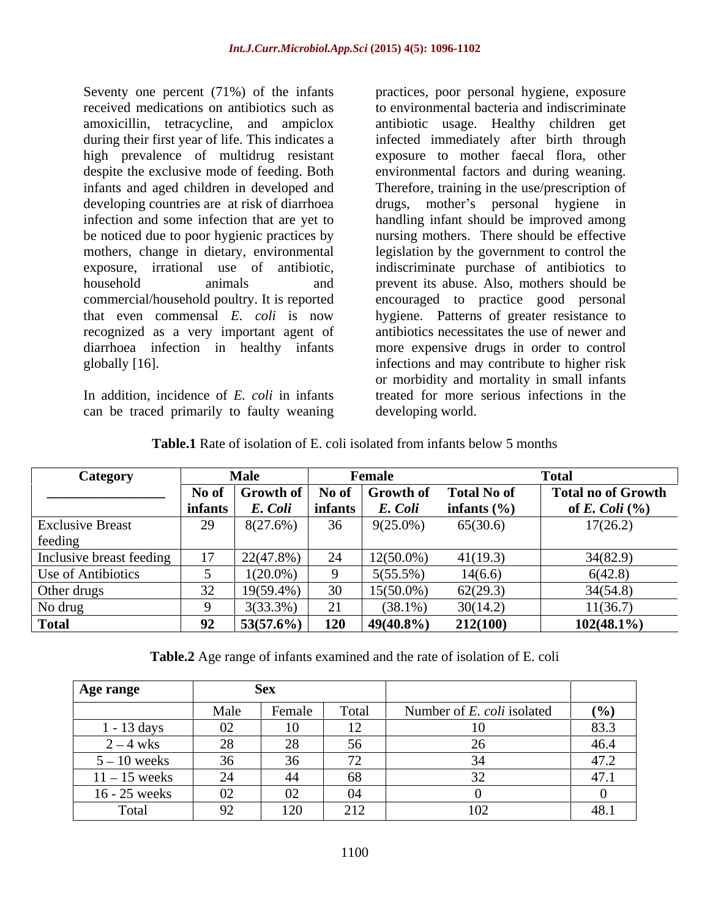Seventy one percent (71%) of the infants practices, poor personal hygiene, exposure received medications on antibiotics such as to environmental bacteria and indiscriminate amoxicillin, tetracycline, and ampiclox antibiotic usage. Healthy children get during their first year of life. This indicates a infected immediately after birth through high prevalence of multidrug resistant exposure to mother faecal flora, other despite the exclusive mode of feeding. Both environmental factors and during weaning. infants and aged children in developed and Therefore, training in the use/prescription of developing countries are at risk of diarrhoea drugs, infection and some infection that are yet to handling infant should be improved among be noticed due to poor hygienic practices by nursing mothers. There should be effective mothers, change in dietary, environmental legislation by the government to control the exposure, irrational use of antibiotic, indiscriminate purchase of antibiotics to<br>household animals and prevent its abuse. Also, mothers should be commercial/household poultry. It is reported encouraged to practice good personal that even commensal *E. coli* is now hygiene. Patterns of greater resistance to recognized as a very important agent of antibiotics necessitates the use of newer and diarrhoea infection in healthy infants more expensive drugs in order to control globally [16]. infections and may contribute to higher risk

In addition, incidence of *E. coli* in infants can be traced primarily to faulty weaning

mother's personal hygiene in indiscriminate purchase of antibiotics to prevent its abuse. Also, mothers should be or morbidity and mortality in small infants treated for more serious infections in the developing world.

| Category                  |         | <b>Male</b><br>Female |               |                  | <b>Total</b>       |                           |  |
|---------------------------|---------|-----------------------|---------------|------------------|--------------------|---------------------------|--|
|                           | No of   | Growth of             | No of         | <b>Growth of</b> | <b>Total No of</b> | <b>Total no of Growth</b> |  |
|                           | infants | E. Coli               | infants       | E. Coli          | infants $(\% )$    | of E. Coli $(\%$          |  |
| <b>Exclusive Breast</b>   | 29      | $8(27.6\%)$           | 36            | $9(25.0\%)$      | 65(30.6)           | 17(26.2)                  |  |
| feeding                   |         |                       |               |                  |                    |                           |  |
| Inclusive breast feeding  |         | 22(47.8%)             | $\mathcal{L}$ | $12(50.0\%)$     | 41(19.3)           | 34(82.9)                  |  |
| <b>Use of Antibiotics</b> |         | $1(20.0\%$            |               | $5(55.5\%)$      | 14(6.6)            | 6(42.8)                   |  |
| Other drugs               | 32      | 19(59.4%)             | $30^{\circ}$  | $15(50.0\%)$     | 62(29.3)           | 34(54.8)                  |  |
| No drug                   |         | $3(33.3\%)$           |               | $(38.1\%$        | 30(14.2)           | 11(36.7)                  |  |
| Total                     | 92      | $53(57.6\%)$          | 120           | $49(40.8\%)$     | 212(100)           | $102(48.1\%)$             |  |

**Table.1** Rate of isolation of E. coli isolated from infants below 5 months

**Table.2** Age range of infants examined and the rate of isolation of E. coli

| Age range          |                                       | <b>Sex</b>       |                 |                            |                      |
|--------------------|---------------------------------------|------------------|-----------------|----------------------------|----------------------|
|                    | Male                                  | $\sim$<br>Female | <b>r</b> otal   | Number of E. coli isolated | $($ %)               |
| $-13 \text{ days}$ | 02                                    | 10               | $\overline{1}$  |                            | 83.3                 |
| $2 - 4$ wks        | 28                                    | 28               | 56<br><u>JU</u> |                            | 46.4                 |
| $5 - 10$ weeks     | 36<br>◡◡                              | 36<br>ັບ         | $\overline{a}$  |                            | $\sqrt{2}$<br>$+1.4$ |
| $11 - 15$ weeks    | $\bigcap$<br>$\overline{\phantom{0}}$ | -44              | 68              |                            | 47.1                 |
| 16 - 25 weeks      | 02                                    | 02               | -04             |                            |                      |
| Total              | $\Omega^{\gamma}$                     | 120              | 212             | ⊥∪∠                        | 48.1                 |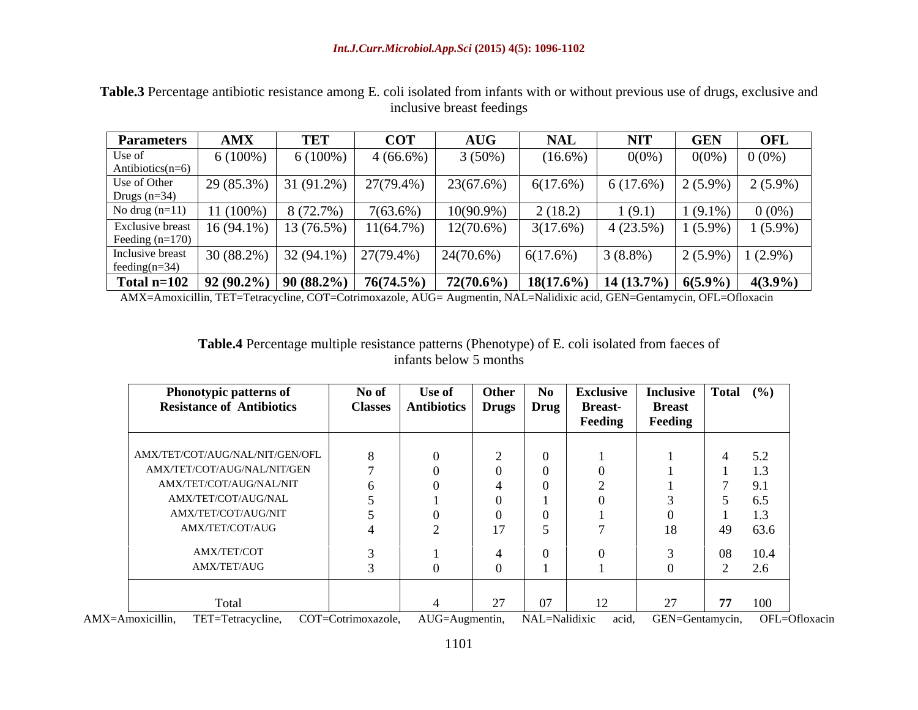| <b>Parameters</b>                                             | AMX          | TE <sup>T</sup> | COT         | <b>AUG</b>                                                           | <b>NAL</b> | <b>NIT</b>  | <b>GEN</b>  | <b>OFL</b>          |
|---------------------------------------------------------------|--------------|-----------------|-------------|----------------------------------------------------------------------|------------|-------------|-------------|---------------------|
| Use of                                                        | $6(100\%)$   | $6(100\%)$      | $4(66.6\%)$ | 3(50%)                                                               | $(16.6\%$  | $0(0\%)$    | $0(0\%)$    | $0(0\%)$            |
| Antibiotics( $n=6$ )                                          |              |                 |             |                                                                      |            |             |             |                     |
| Use of Other<br>Drugs $(n=34)$<br>No drug $(n=11)$            | $29(85.3\%)$ | 31 $(91.2\%)$   | 27(79.4%)   | 23(67.6%)                                                            | 6(17.6%)   | 6(17.6%)    | $12(5.9\%)$ | $2(5.9\%)$          |
|                                                               |              |                 |             |                                                                      |            |             |             |                     |
|                                                               | 11 (100%)    | 8 (72.7%)       | $7(63.6\%)$ | $10(90.9\%)$                                                         | 2(18.2)    | 1(9.1)      | $1(9.1\%)$  | $0(0\%)$            |
| Exclusive breast $16 (94.1\%) 13 (76.5\%)$<br>Feeding (n=170) |              |                 | 11(64.7%)   | $12(70.6\%)$                                                         | 3(17.6%)   | $4(23.5\%)$ | $1(5.9\%)$  | $1(5.9\%)$          |
|                                                               |              |                 |             |                                                                      |            |             |             |                     |
| Inclusive breast   30 (88.2%)   32 (94.1%)   27 (79.4%)       |              |                 |             | $24(70.6\%)$                                                         | 6(17.6%)   | $3(8.8\%)$  |             | $2(5.9\%)$ 1 (2.9%) |
| feeding( $n=34$ )                                             |              |                 |             |                                                                      |            |             |             |                     |
| Total n=102   92 (90.2%)   90 (88.2%)   76(74.5%)             |              |                 |             | $72(70.6\%)$   $18(17.6\%)$   $14(13.7\%)$   $6(5.9\%)$   $4(3.9\%)$ |            |             |             |                     |

**Table.3** Percentage antibiotic resistance among E. coli isolated from infants with or without previous use of drugs, exclusive and inclusive breast feedings

AMX=Amoxicillin, TET=Tetracycline, COT=Cotrimoxazole, AUG= Augmentin, NAL=Nalidixic acid, GEN=Gentamycin, OFL=Ofloxacin

#### **Table.4** Percentage multiple resistance patterns (Phenotype) of E. coli isolated from faeces of infants below 5 months

| <b>Phonotypic patterns of</b>    | No of          | Use of             | Other          | No | <b>Exclusive</b>        | Inclusive Total $(\% )$ |              |      |
|----------------------------------|----------------|--------------------|----------------|----|-------------------------|-------------------------|--------------|------|
| <b>Resistance of Antibiotics</b> | <b>Classes</b> | <b>Antibiotics</b> | Drugs Drug     |    | <b>Breast-</b>          | <b>Breast</b>           |              |      |
|                                  |                |                    |                |    | Feeding                 | Feeding                 |              |      |
|                                  |                |                    |                |    |                         |                         |              |      |
| AMX/TET/COT/AUG/NAL/NIT/GEN/OFL  |                |                    |                |    |                         |                         | $\leftarrow$ | 5.2  |
| AMX/TET/COT/AUG/NAL/NIT/GEN      |                |                    |                |    |                         |                         |              | 1.3  |
| AMX/TET/COT/AUG/NAL/NIT          |                |                    |                |    |                         |                         |              | 9.1  |
| AMX/TET/COT/AUG/NAL              |                |                    |                |    |                         |                         |              | 6.5  |
| AMX/TET/COT/AUG/NIT              |                |                    |                |    |                         |                         |              | 1.3  |
| AMX/TET/COT/AUG                  |                |                    | 17             |    |                         | 18                      | 49           | 63.6 |
| AMX/TET/COT                      |                |                    |                |    |                         |                         | 08           | 10.4 |
| AMX/TET/AUG                      |                |                    |                |    |                         |                         |              | 2.6  |
|                                  |                |                    |                |    |                         |                         |              |      |
| Total                            |                |                    | 27<br>$\sim$ 1 | 07 | 12 <sub>1</sub><br>⊥∠ ⊥ | $\sim$                  | 77           | 100  |

AMX=Amoxicillin, TET=Tetracycline, COT=Cotrimoxazole, AUG=Augmentin, NAL=Nalidixic acid, GEN=Gentamycin, OFL=Ofloxacin